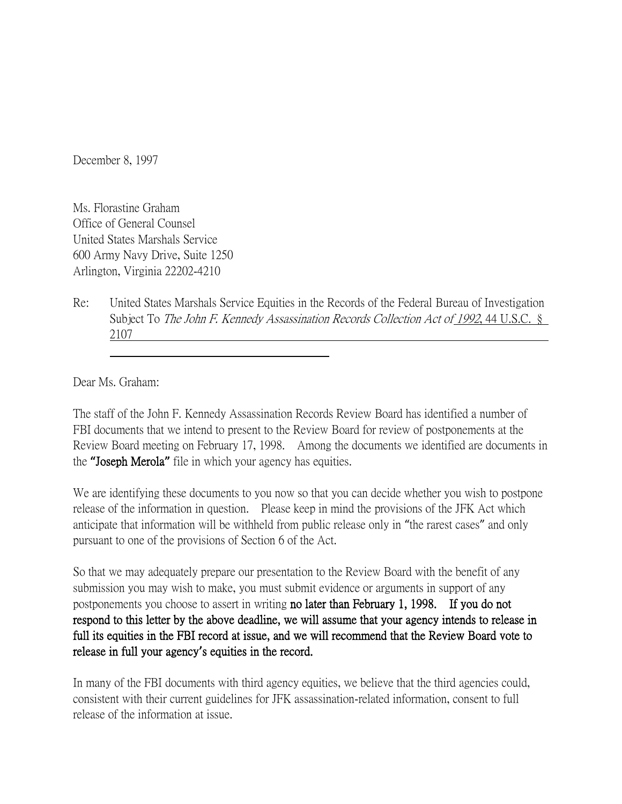December 8, 1997

Ms. Florastine Graham Office of General Counsel United States Marshals Service 600 Army Navy Drive, Suite 1250 Arlington, Virginia 22202-4210

Re: United States Marshals Service Equities in the Records of the Federal Bureau of Investigation Subject To The John F. Kennedy Assassination Records Collection Act of 1992, 44 U.S.C. § 2107

Dear Ms. Graham:

The staff of the John F. Kennedy Assassination Records Review Board has identified a number of FBI documents that we intend to present to the Review Board for review of postponements at the Review Board meeting on February 17, 1998. Among the documents we identified are documents in the **"**Joseph Merola**"** file in which your agency has equities.

We are identifying these documents to you now so that you can decide whether you wish to postpone release of the information in question. Please keep in mind the provisions of the JFK Act which anticipate that information will be withheld from public release only in "the rarest cases" and only pursuant to one of the provisions of Section 6 of the Act.

So that we may adequately prepare our presentation to the Review Board with the benefit of any submission you may wish to make, you must submit evidence or arguments in support of any postponements you choose to assert in writing no later than February 1, 1998. If you do not respond to this letter by the above deadline, we will assume that your agency intends to release in full its equities in the FBI record at issue, and we will recommend that the Review Board vote to release in full your agency**'**s equities in the record.

In many of the FBI documents with third agency equities, we believe that the third agencies could, consistent with their current guidelines for JFK assassination-related information, consent to full release of the information at issue.